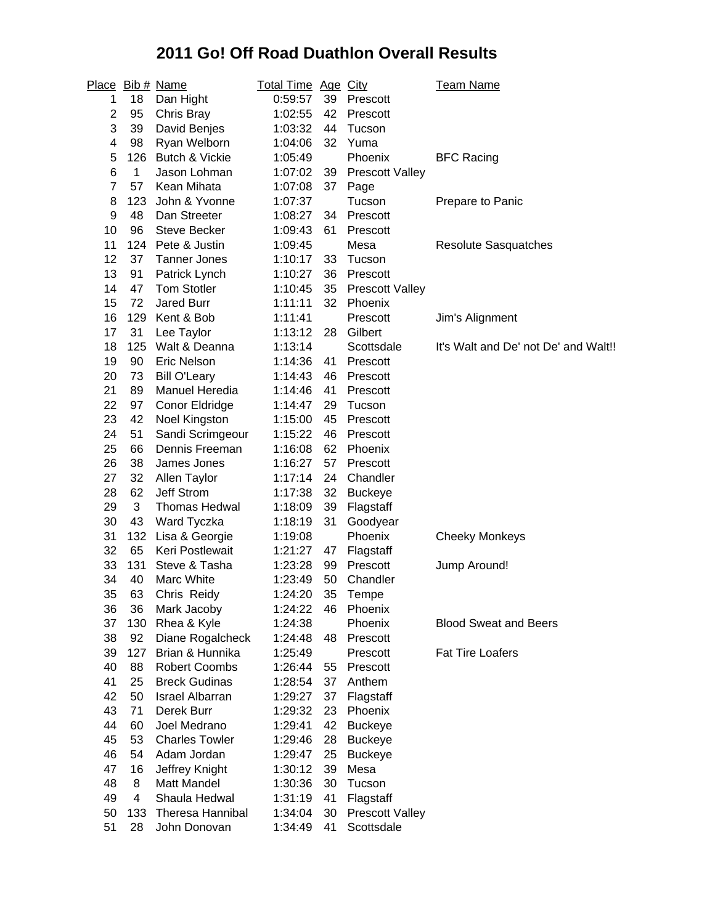## **2011 Go! Off Road Duathlon Overall Results**

| Place          |     | Bib # Name              | <b>Total Time Age City</b> |    |                        | <b>Team Name</b>                     |
|----------------|-----|-------------------------|----------------------------|----|------------------------|--------------------------------------|
| 1              | 18  | Dan Hight               | 0:59:57                    | 39 | Prescott               |                                      |
| 2              | 95  | Chris Bray              | 1:02:55                    | 42 | Prescott               |                                      |
| 3              | 39  | David Benjes            | 1:03:32                    | 44 | Tucson                 |                                      |
| 4              | 98  | Ryan Welborn            | 1:04:06                    | 32 | Yuma                   |                                      |
| 5              | 126 | Butch & Vickie          | 1:05:49                    |    | Phoenix                | <b>BFC Racing</b>                    |
| 6              | 1   | Jason Lohman            | 1:07:02                    | 39 | <b>Prescott Valley</b> |                                      |
| $\overline{7}$ | 57  | Kean Mihata             | 1:07:08                    | 37 | Page                   |                                      |
| 8              | 123 | John & Yvonne           | 1:07:37                    |    | Tucson                 | Prepare to Panic                     |
| 9              | 48  | Dan Streeter            | 1:08:27                    | 34 | Prescott               |                                      |
| 10             | 96  | <b>Steve Becker</b>     | 1:09:43                    | 61 | Prescott               |                                      |
| 11             | 124 | Pete & Justin           | 1:09:45                    |    | Mesa                   | <b>Resolute Sasquatches</b>          |
| 12             | 37  | <b>Tanner Jones</b>     | 1:10:17                    | 33 | Tucson                 |                                      |
| 13             | 91  | Patrick Lynch           | 1:10:27                    | 36 | Prescott               |                                      |
| 14             | 47  | <b>Tom Stotler</b>      | 1:10:45                    | 35 | <b>Prescott Valley</b> |                                      |
| 15             | 72  | <b>Jared Burr</b>       | 1:11:11                    | 32 | Phoenix                |                                      |
| 16             | 129 | Kent & Bob              | 1:11:41                    |    | Prescott               | Jim's Alignment                      |
| 17             | 31  | Lee Taylor              | 1:13:12                    | 28 | Gilbert                |                                      |
| 18             | 125 | Walt & Deanna           | 1:13:14                    |    | Scottsdale             | It's Walt and De' not De' and Walt!! |
| 19             | 90  | Eric Nelson             | 1:14:36                    | 41 | Prescott               |                                      |
| 20             | 73  | <b>Bill O'Leary</b>     | 1:14:43                    | 46 | Prescott               |                                      |
| 21             | 89  | Manuel Heredia          | 1:14:46                    | 41 | Prescott               |                                      |
| 22             | 97  | Conor Eldridge          | 1:14:47                    | 29 | Tucson                 |                                      |
| 23             | 42  | Noel Kingston           | 1:15:00                    | 45 | Prescott               |                                      |
| 24             | 51  | Sandi Scrimgeour        | 1:15:22                    | 46 | Prescott               |                                      |
| 25             | 66  | Dennis Freeman          | 1:16:08                    | 62 | Phoenix                |                                      |
| 26             | 38  | James Jones             | 1:16:27                    | 57 | Prescott               |                                      |
| 27             | 32  | Allen Taylor            | 1:17:14                    | 24 | Chandler               |                                      |
| 28             | 62  | <b>Jeff Strom</b>       | 1:17:38                    | 32 | <b>Buckeye</b>         |                                      |
| 29             | 3   | <b>Thomas Hedwal</b>    | 1:18:09                    | 39 | Flagstaff              |                                      |
| 30             | 43  | Ward Tyczka             | 1:18:19                    | 31 | Goodyear               |                                      |
| 31             | 132 | Lisa & Georgie          | 1:19:08                    |    | Phoenix                | <b>Cheeky Monkeys</b>                |
| 32             | 65  | Keri Postlewait         | 1:21:27                    | 47 | Flagstaff              |                                      |
| 33             | 131 | Steve & Tasha           | 1:23:28                    | 99 | Prescott               | Jump Around!                         |
| 34             | 40  | Marc White              | 1:23:49                    | 50 | Chandler               |                                      |
| 35             | 63  | Chris Reidy             | 1:24:20                    | 35 | Tempe                  |                                      |
| 36             | 36  | Mark Jacoby             | 1:24:22                    | 46 | Phoenix                |                                      |
| 37             | 130 | Rhea & Kyle             | 1:24:38                    |    | Phoenix                | <b>Blood Sweat and Beers</b>         |
| 38             | 92  | Diane Rogalcheck        | 1:24:48                    | 48 | Prescott               |                                      |
| 39             | 127 | Brian & Hunnika         | 1:25:49                    |    | Prescott               | <b>Fat Tire Loafers</b>              |
| 40             | 88  | <b>Robert Coombs</b>    | 1:26:44                    | 55 | Prescott               |                                      |
| 41             | 25  | <b>Breck Gudinas</b>    | 1:28:54                    | 37 | Anthem                 |                                      |
| 42             | 50  | <b>Israel Albarran</b>  | 1:29:27                    | 37 | Flagstaff              |                                      |
| 43             | 71  | Derek Burr              | 1:29:32                    | 23 | Phoenix                |                                      |
| 44             | 60  | Joel Medrano            | 1:29:41                    | 42 | <b>Buckeye</b>         |                                      |
| 45             | 53  | <b>Charles Towler</b>   | 1:29:46                    | 28 | <b>Buckeye</b>         |                                      |
| 46             | 54  | Adam Jordan             | 1:29:47                    | 25 | <b>Buckeye</b>         |                                      |
| 47             | 16  | Jeffrey Knight          | 1:30:12                    | 39 | Mesa                   |                                      |
| 48             | 8   | <b>Matt Mandel</b>      | 1:30:36                    | 30 | Tucson                 |                                      |
| 49             | 4   | Shaula Hedwal           | 1:31:19                    | 41 | Flagstaff              |                                      |
| 50             | 133 | <b>Theresa Hannibal</b> | 1:34:04                    | 30 | <b>Prescott Valley</b> |                                      |
| 51             | 28  | John Donovan            | 1:34:49                    | 41 | Scottsdale             |                                      |